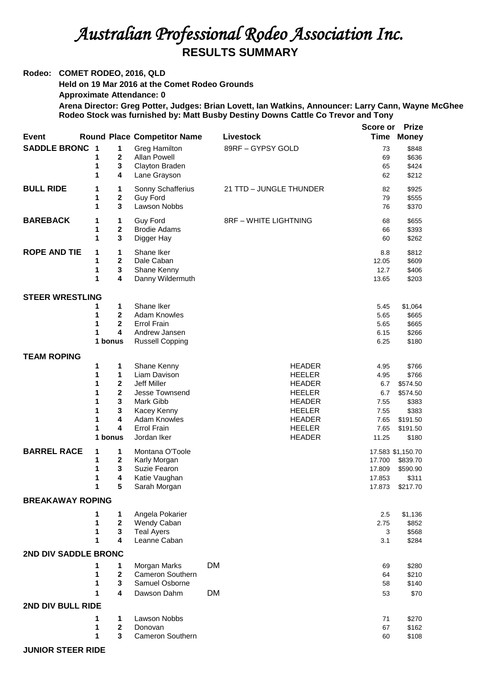## *Australian Professional Rodeo Association Inc.*  **RESULTS SUMMARY**

## **Rodeo: COMET RODEO, 2016, QLD**

**Held on 19 Mar 2016 at the Comet Rodeo Grounds**

**Approximate Attendance: 0**

**Arena Director: Greg Potter, Judges: Brian Lovett, Ian Watkins, Announcer: Larry Cann, Wayne McGhee Rodeo Stock was furnished by: Matt Busby Destiny Downs Cattle Co Trevor and Tony** 

|                             |                         |                             |                                    |                              | Score or | <b>Prize</b>      |  |
|-----------------------------|-------------------------|-----------------------------|------------------------------------|------------------------------|----------|-------------------|--|
| <b>Event</b>                |                         |                             | <b>Round Place Competitor Name</b> | Livestock                    | Time     | <b>Money</b>      |  |
| <b>SADDLE BRONC</b>         | $\overline{\mathbf{1}}$ | 1                           | Greg Hamilton                      | 89RF - GYPSY GOLD            | 73       | \$848             |  |
|                             | 1                       | $\mathbf 2$                 | <b>Allan Powell</b>                |                              | 69       | \$636             |  |
|                             | 1                       | 3                           | Clayton Braden                     |                              | 65       | \$424             |  |
|                             | 1                       | 4                           | Lane Grayson                       |                              | 62       | \$212             |  |
|                             |                         |                             |                                    |                              |          |                   |  |
| <b>BULL RIDE</b>            | 1                       | 1                           | Sonny Schafferius                  | 21 TTD - JUNGLE THUNDER      | 82       | \$925             |  |
|                             | 1                       | $\mathbf{2}$                | <b>Guy Ford</b>                    |                              | 79       | \$555             |  |
|                             | 1                       | 3                           | Lawson Nobbs                       |                              | 76       | \$370             |  |
|                             |                         |                             |                                    |                              |          |                   |  |
| <b>BAREBACK</b>             | 1                       | 1                           | <b>Guy Ford</b>                    | <b>8RF - WHITE LIGHTNING</b> | 68       | \$655             |  |
|                             | 1                       | 2                           | <b>Brodie Adams</b>                |                              | 66       | \$393             |  |
|                             | 1                       | 3                           | Digger Hay                         |                              | 60       | \$262             |  |
| <b>ROPE AND TIE</b>         | 1                       | 1                           | Shane Iker                         |                              | 8.8      | \$812             |  |
|                             | 1                       | $\mathbf 2$                 | Dale Caban                         |                              | 12.05    | \$609             |  |
|                             | 1                       | 3                           | Shane Kenny                        |                              | 12.7     | \$406             |  |
|                             | 1                       | 4                           | Danny Wildermuth                   |                              | 13.65    | \$203             |  |
|                             |                         |                             |                                    |                              |          |                   |  |
| <b>STEER WRESTLING</b>      |                         |                             |                                    |                              |          |                   |  |
|                             | 1                       | 1                           | Shane Iker                         |                              | 5.45     | \$1,064           |  |
|                             | 1                       | $\mathbf 2$                 | <b>Adam Knowles</b>                |                              | 5.65     | \$665             |  |
|                             | 1                       | $\overline{2}$              | <b>Errol Frain</b>                 |                              | 5.65     | \$665             |  |
|                             | 1                       | 4                           | Andrew Jansen                      |                              | 6.15     | \$266             |  |
|                             |                         | 1 bonus                     | <b>Russell Copping</b>             |                              | 6.25     | \$180             |  |
|                             |                         |                             |                                    |                              |          |                   |  |
| <b>TEAM ROPING</b>          |                         |                             |                                    |                              |          |                   |  |
|                             | 1                       | 1                           | Shane Kenny                        | <b>HEADER</b>                | 4.95     | \$766             |  |
|                             | 1                       | 1                           | Liam Davison                       | <b>HEELER</b>                | 4.95     | \$766             |  |
|                             | 1                       | $\mathbf 2$                 | Jeff Miller                        | <b>HEADER</b>                | 6.7      | \$574.50          |  |
|                             | 1                       | $\mathbf 2$                 | Jesse Townsend                     | <b>HEELER</b>                | 6.7      | \$574.50          |  |
|                             | 1                       | 3                           | Mark Gibb                          | <b>HEADER</b>                | 7.55     | \$383             |  |
|                             | 1                       | 3                           | Kacey Kenny                        | <b>HEELER</b>                | 7.55     | \$383             |  |
|                             | 1                       | 4                           | <b>Adam Knowles</b>                | <b>HEADER</b>                | 7.65     | \$191.50          |  |
|                             | 1                       | 4                           | <b>Errol Frain</b>                 | <b>HEELER</b>                | 7.65     | \$191.50          |  |
|                             |                         | 1 bonus                     | Jordan Iker                        | <b>HEADER</b>                | 11.25    | \$180             |  |
| <b>BARREL RACE</b>          |                         |                             |                                    |                              |          |                   |  |
|                             | 1<br>1                  | 1                           | Montana O'Toole                    |                              |          | 17.583 \$1,150.70 |  |
|                             |                         | $\mathbf 2$<br>$\mathbf{3}$ | Karly Morgan                       |                              | 17.700   | \$839.70          |  |
|                             | 1                       |                             | Suzie Fearon                       |                              | 17.809   | \$590.90          |  |
|                             | 1                       | 4                           | Katie Vaughan                      |                              | 17.853   | \$311             |  |
|                             | 1                       | 5                           | Sarah Morgan                       |                              | 17.873   | \$217.70          |  |
| <b>BREAKAWAY ROPING</b>     |                         |                             |                                    |                              |          |                   |  |
|                             | 1                       | 1                           | Angela Pokarier                    |                              | 2.5      | \$1,136           |  |
|                             | 1                       | $\mathbf{2}$                | Wendy Caban                        |                              | 2.75     | \$852             |  |
|                             | 1                       | 3                           | <b>Teal Ayers</b>                  |                              | 3        | \$568             |  |
|                             | 1                       | 4                           | Leanne Caban                       |                              | 3.1      | \$284             |  |
|                             |                         |                             |                                    |                              |          |                   |  |
| <b>2ND DIV SADDLE BRONC</b> |                         |                             |                                    |                              |          |                   |  |
|                             | 1                       | 1                           | Morgan Marks                       | <b>DM</b>                    | 69       | \$280             |  |
|                             | 1                       | $\mathbf 2$                 | Cameron Southern                   |                              | 64       | \$210             |  |
|                             | 1                       | 3                           | Samuel Osborne                     |                              | 58       | \$140             |  |
|                             | 1                       | 4                           | Dawson Dahm                        | DM                           | 53       | \$70              |  |
|                             |                         |                             |                                    |                              |          |                   |  |
| 2ND DIV BULL RIDE           |                         |                             |                                    |                              |          |                   |  |
|                             | 1                       | 1                           | Lawson Nobbs                       |                              | 71       | \$270             |  |
|                             | 1                       | $\mathbf{2}$                | Donovan                            |                              | 67       | \$162             |  |
|                             | 1                       | 3                           | Cameron Southern                   |                              | 60       | \$108             |  |

**JUNIOR STEER RIDE**